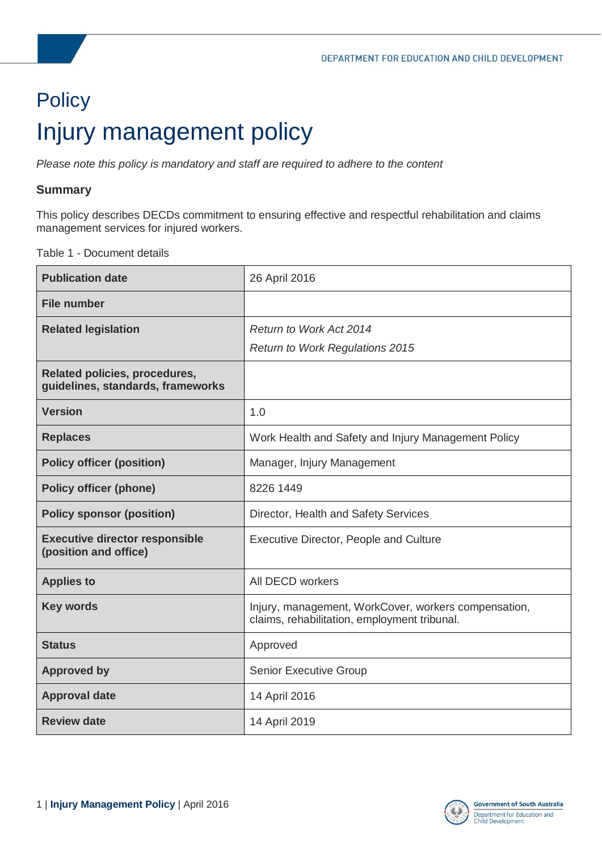# <span id="page-0-0"></span>**Policy** Injury management policy

*Please note this policy is mandatory and staff are required to adhere to the content* 

### **Summary**

This policy describes DECDs commitment to ensuring effective and respectful rehabilitation and claims management services for injured workers.

Table 1 - Document details

| <b>Publication date</b>                                                   | 26 April 2016                                                                                        |
|---------------------------------------------------------------------------|------------------------------------------------------------------------------------------------------|
| <b>File number</b>                                                        |                                                                                                      |
| <b>Related legislation</b>                                                | Return to Work Act 2014                                                                              |
|                                                                           | <b>Return to Work Regulations 2015</b>                                                               |
| <b>Related policies, procedures,</b><br>guidelines, standards, frameworks |                                                                                                      |
| <b>Version</b>                                                            | 1.0                                                                                                  |
| <b>Replaces</b>                                                           | Work Health and Safety and Injury Management Policy                                                  |
| <b>Policy officer (position)</b>                                          | Manager, Injury Management                                                                           |
| <b>Policy officer (phone)</b>                                             | 8226 1449                                                                                            |
| <b>Policy sponsor (position)</b>                                          | Director, Health and Safety Services                                                                 |
| <b>Executive director responsible</b><br>(position and office)            | Executive Director, People and Culture                                                               |
| <b>Applies to</b>                                                         | All DECD workers                                                                                     |
| <b>Key words</b>                                                          | Injury, management, WorkCover, workers compensation,<br>claims, rehabilitation, employment tribunal. |
| <b>Status</b>                                                             | Approved                                                                                             |
| <b>Approved by</b>                                                        | <b>Senior Executive Group</b>                                                                        |
| <b>Approval date</b>                                                      | 14 April 2016                                                                                        |
| <b>Review date</b>                                                        | 14 April 2019                                                                                        |

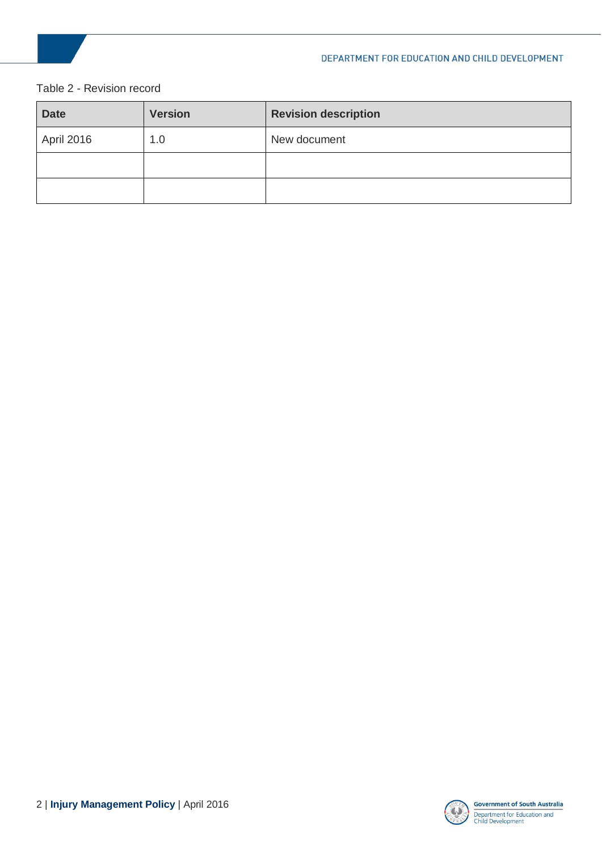### Table 2 - Revision record

| <b>Date</b> | <b>Version</b> | <b>Revision description</b> |
|-------------|----------------|-----------------------------|
| April 2016  | 1.0            | New document                |
|             |                |                             |
|             |                |                             |

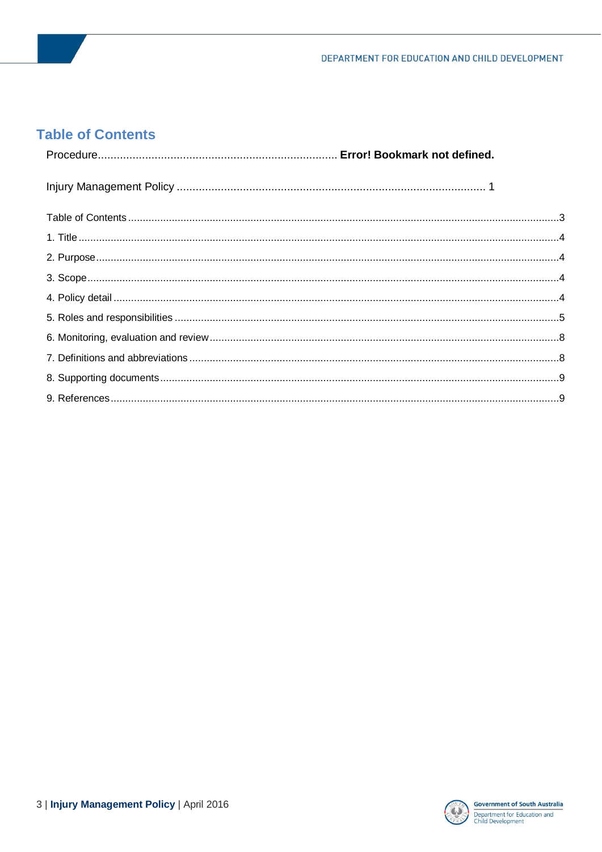### <span id="page-2-0"></span>**Table of Contents**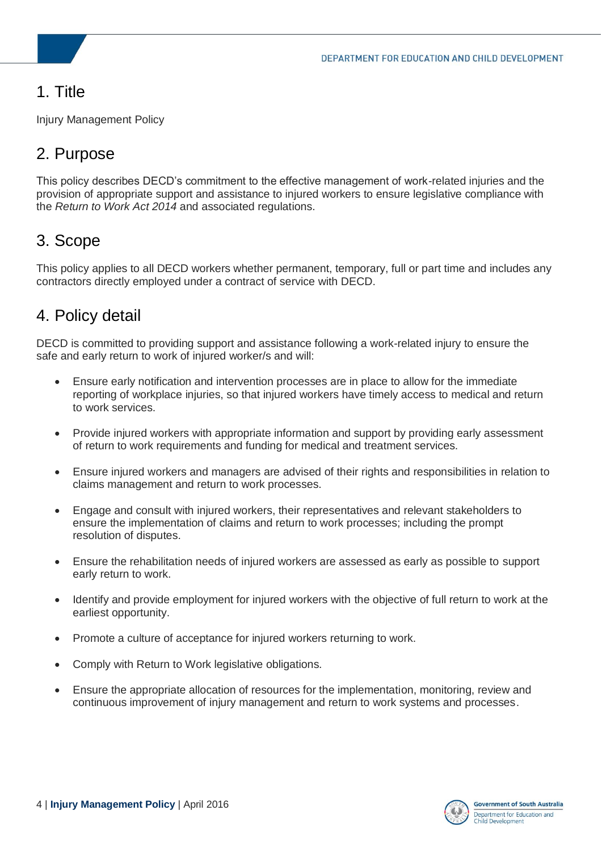# <span id="page-3-0"></span>1. Title

Injury Management Policy

# <span id="page-3-1"></span>2. Purpose

This policy describes DECD's commitment to the effective management of work-related injuries and the provision of appropriate support and assistance to injured workers to ensure legislative compliance with the *Return to Work Act 2014* and associated regulations.

# <span id="page-3-2"></span>3. Scope

This policy applies to all DECD workers whether permanent, temporary, full or part time and includes any contractors directly employed under a contract of service with DECD.

# <span id="page-3-3"></span>4. Policy detail

DECD is committed to providing support and assistance following a work-related injury to ensure the safe and early return to work of injured worker/s and will:

- Ensure early notification and intervention processes are in place to allow for the immediate reporting of workplace injuries, so that injured workers have timely access to medical and return to work services.
- Provide injured workers with appropriate information and support by providing early assessment of return to work requirements and funding for medical and treatment services.
- Ensure injured workers and managers are advised of their rights and responsibilities in relation to claims management and return to work processes.
- Engage and consult with injured workers, their representatives and relevant stakeholders to ensure the implementation of claims and return to work processes; including the prompt resolution of disputes.
- Ensure the rehabilitation needs of injured workers are assessed as early as possible to support early return to work.
- Identify and provide employment for injured workers with the objective of full return to work at the earliest opportunity.
- Promote a culture of acceptance for injured workers returning to work.
- Comply with Return to Work legislative obligations.
- Ensure the appropriate allocation of resources for the implementation, monitoring, review and continuous improvement of injury management and return to work systems and processes.

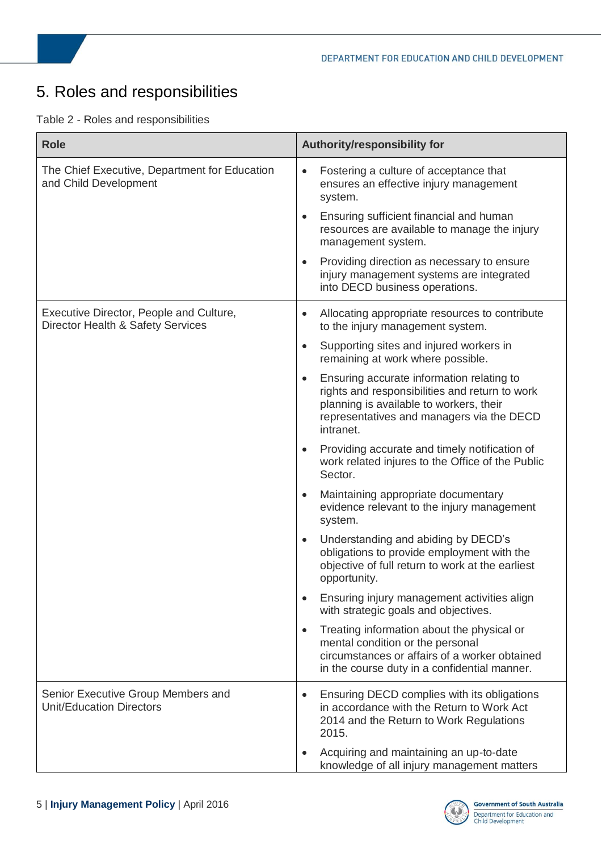# <span id="page-4-0"></span>5. Roles and responsibilities

|  |  |  | Table 2 - Roles and responsibilities |
|--|--|--|--------------------------------------|
|--|--|--|--------------------------------------|

| <b>Role</b>                                                                  | Authority/responsibility for                                                                                                                                                                                  |
|------------------------------------------------------------------------------|---------------------------------------------------------------------------------------------------------------------------------------------------------------------------------------------------------------|
| The Chief Executive, Department for Education<br>and Child Development       | Fostering a culture of acceptance that<br>$\bullet$<br>ensures an effective injury management<br>system.                                                                                                      |
|                                                                              | Ensuring sufficient financial and human<br>resources are available to manage the injury<br>management system.                                                                                                 |
|                                                                              | Providing direction as necessary to ensure<br>injury management systems are integrated<br>into DECD business operations.                                                                                      |
| Executive Director, People and Culture,<br>Director Health & Safety Services | Allocating appropriate resources to contribute<br>to the injury management system.                                                                                                                            |
|                                                                              | Supporting sites and injured workers in<br>remaining at work where possible.                                                                                                                                  |
|                                                                              | Ensuring accurate information relating to<br>$\bullet$<br>rights and responsibilities and return to work<br>planning is available to workers, their<br>representatives and managers via the DECD<br>intranet. |
|                                                                              | Providing accurate and timely notification of<br>work related injures to the Office of the Public<br>Sector.                                                                                                  |
|                                                                              | Maintaining appropriate documentary<br>evidence relevant to the injury management<br>system.                                                                                                                  |
|                                                                              | Understanding and abiding by DECD's<br>obligations to provide employment with the<br>objective of full return to work at the earliest<br>opportunity.                                                         |
|                                                                              | Ensuring injury management activities align<br>with strategic goals and objectives.                                                                                                                           |
|                                                                              | Treating information about the physical or<br>mental condition or the personal<br>circumstances or affairs of a worker obtained<br>in the course duty in a confidential manner.                               |
| Senior Executive Group Members and<br><b>Unit/Education Directors</b>        | Ensuring DECD complies with its obligations<br>$\bullet$<br>in accordance with the Return to Work Act<br>2014 and the Return to Work Regulations<br>2015.                                                     |
|                                                                              | Acquiring and maintaining an up-to-date<br>knowledge of all injury management matters                                                                                                                         |

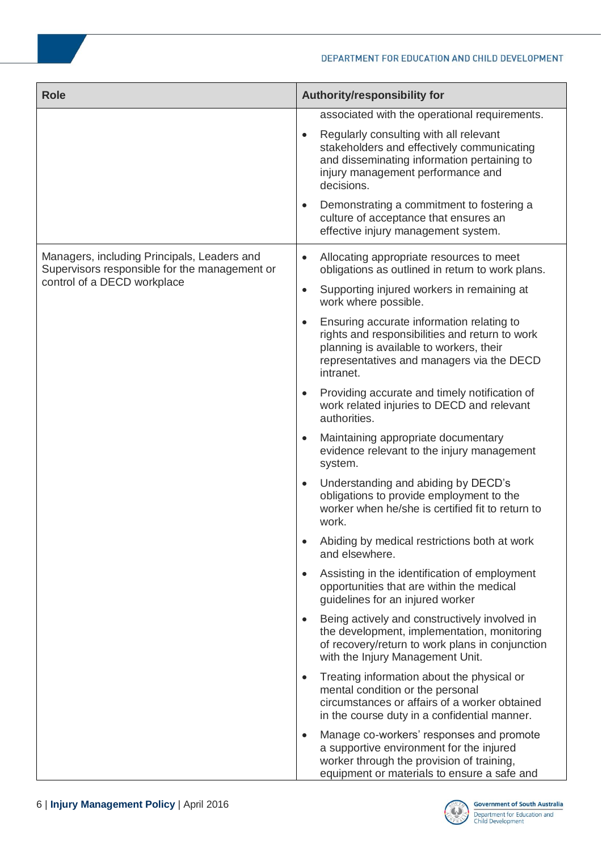| <b>Role</b>                                                                                  | Authority/responsibility for                                                                                                                                                                                                                                                                                   |
|----------------------------------------------------------------------------------------------|----------------------------------------------------------------------------------------------------------------------------------------------------------------------------------------------------------------------------------------------------------------------------------------------------------------|
|                                                                                              | associated with the operational requirements.<br>Regularly consulting with all relevant<br>$\bullet$<br>stakeholders and effectively communicating<br>and disseminating information pertaining to<br>injury management performance and<br>decisions.<br>Demonstrating a commitment to fostering a<br>$\bullet$ |
|                                                                                              | culture of acceptance that ensures an<br>effective injury management system.                                                                                                                                                                                                                                   |
| Managers, including Principals, Leaders and<br>Supervisors responsible for the management or | Allocating appropriate resources to meet<br>$\bullet$<br>obligations as outlined in return to work plans.                                                                                                                                                                                                      |
| control of a DECD workplace                                                                  | Supporting injured workers in remaining at<br>$\bullet$<br>work where possible.                                                                                                                                                                                                                                |
|                                                                                              | Ensuring accurate information relating to<br>$\bullet$<br>rights and responsibilities and return to work<br>planning is available to workers, their<br>representatives and managers via the DECD<br>intranet.                                                                                                  |
|                                                                                              | Providing accurate and timely notification of<br>$\bullet$<br>work related injuries to DECD and relevant<br>authorities.                                                                                                                                                                                       |
|                                                                                              | Maintaining appropriate documentary<br>$\bullet$<br>evidence relevant to the injury management<br>system.                                                                                                                                                                                                      |
|                                                                                              | Understanding and abiding by DECD's<br>$\bullet$<br>obligations to provide employment to the<br>worker when he/she is certified fit to return to<br>work.                                                                                                                                                      |
|                                                                                              | Abiding by medical restrictions both at work<br>$\bullet$<br>and elsewhere.                                                                                                                                                                                                                                    |
|                                                                                              | Assisting in the identification of employment<br>$\bullet$<br>opportunities that are within the medical<br>guidelines for an injured worker                                                                                                                                                                    |
|                                                                                              | Being actively and constructively involved in<br>$\bullet$<br>the development, implementation, monitoring<br>of recovery/return to work plans in conjunction<br>with the Injury Management Unit.                                                                                                               |
|                                                                                              | Treating information about the physical or<br>$\bullet$<br>mental condition or the personal<br>circumstances or affairs of a worker obtained<br>in the course duty in a confidential manner.                                                                                                                   |
|                                                                                              | Manage co-workers' responses and promote<br>$\bullet$<br>a supportive environment for the injured<br>worker through the provision of training,<br>equipment or materials to ensure a safe and                                                                                                                  |

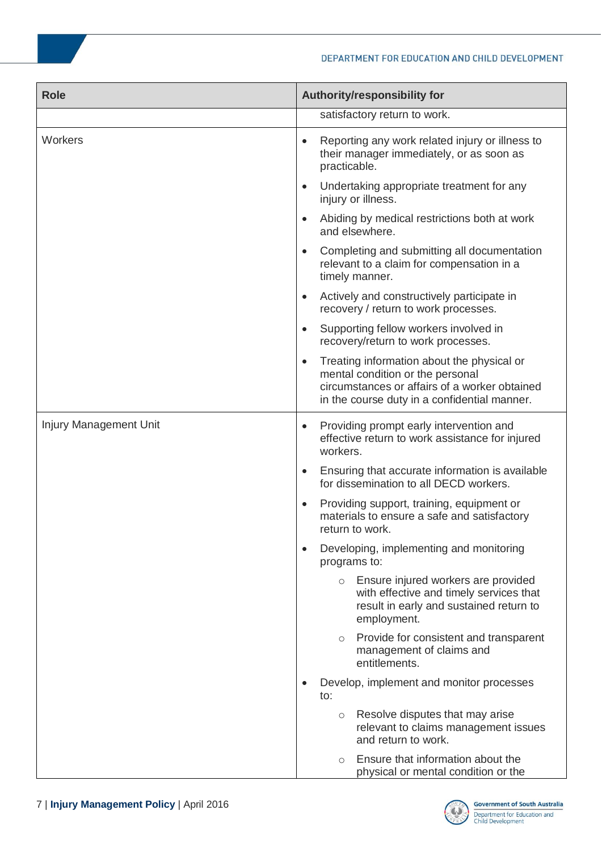| <b>Role</b>            | Authority/responsibility for                                                                                                                                                                 |
|------------------------|----------------------------------------------------------------------------------------------------------------------------------------------------------------------------------------------|
|                        | satisfactory return to work.                                                                                                                                                                 |
| Workers                | Reporting any work related injury or illness to<br>$\bullet$<br>their manager immediately, or as soon as<br>practicable.                                                                     |
|                        | Undertaking appropriate treatment for any<br>$\bullet$<br>injury or illness.                                                                                                                 |
|                        | Abiding by medical restrictions both at work<br>$\bullet$<br>and elsewhere.                                                                                                                  |
|                        | Completing and submitting all documentation<br>$\bullet$<br>relevant to a claim for compensation in a<br>timely manner.                                                                      |
|                        | Actively and constructively participate in<br>$\bullet$<br>recovery / return to work processes.                                                                                              |
|                        | Supporting fellow workers involved in<br>$\bullet$<br>recovery/return to work processes.                                                                                                     |
|                        | Treating information about the physical or<br>$\bullet$<br>mental condition or the personal<br>circumstances or affairs of a worker obtained<br>in the course duty in a confidential manner. |
| Injury Management Unit | Providing prompt early intervention and<br>$\bullet$<br>effective return to work assistance for injured<br>workers.                                                                          |
|                        | Ensuring that accurate information is available<br>$\bullet$<br>for dissemination to all DECD workers.                                                                                       |
|                        | Providing support, training, equipment or<br>$\bullet$<br>materials to ensure a safe and satisfactory<br>return to work.                                                                     |
|                        | Developing, implementing and monitoring<br>$\bullet$<br>programs to:                                                                                                                         |
|                        | o Ensure injured workers are provided<br>with effective and timely services that<br>result in early and sustained return to<br>employment.                                                   |
|                        | Provide for consistent and transparent<br>$\circ$<br>management of claims and<br>entitlements.                                                                                               |
|                        | Develop, implement and monitor processes<br>to:                                                                                                                                              |
|                        | Resolve disputes that may arise<br>$\circ$<br>relevant to claims management issues<br>and return to work.                                                                                    |
|                        | Ensure that information about the<br>$\circ$<br>physical or mental condition or the                                                                                                          |

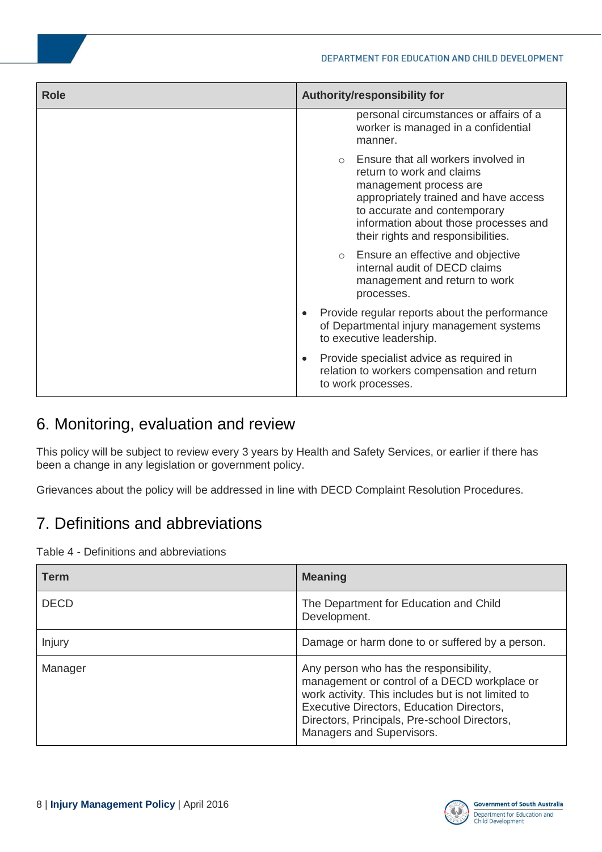| <b>Role</b> | Authority/responsibility for                                                                                                                                                                                                                       |
|-------------|----------------------------------------------------------------------------------------------------------------------------------------------------------------------------------------------------------------------------------------------------|
|             | personal circumstances or affairs of a<br>worker is managed in a confidential<br>manner.                                                                                                                                                           |
|             | Ensure that all workers involved in<br>return to work and claims<br>management process are<br>appropriately trained and have access<br>to accurate and contemporary<br>information about those processes and<br>their rights and responsibilities. |
|             | o Ensure an effective and objective<br>internal audit of DECD claims<br>management and return to work<br>processes.                                                                                                                                |
|             | Provide regular reports about the performance<br>$\bullet$<br>of Departmental injury management systems<br>to executive leadership.                                                                                                                |
|             | Provide specialist advice as required in<br>٠<br>relation to workers compensation and return<br>to work processes.                                                                                                                                 |

### <span id="page-7-0"></span>6. Monitoring, evaluation and review

This policy will be subject to review every 3 years by Health and Safety Services, or earlier if there has been a change in any legislation or government policy.

Grievances about the policy will be addressed in line with DECD Complaint Resolution Procedures.

# <span id="page-7-1"></span>7. Definitions and abbreviations

Table 4 - Definitions and abbreviations

| <b>Term</b> | <b>Meaning</b>                                                                                                                                                                                                                                                         |
|-------------|------------------------------------------------------------------------------------------------------------------------------------------------------------------------------------------------------------------------------------------------------------------------|
| <b>DECD</b> | The Department for Education and Child<br>Development.                                                                                                                                                                                                                 |
| Injury      | Damage or harm done to or suffered by a person.                                                                                                                                                                                                                        |
| Manager     | Any person who has the responsibility,<br>management or control of a DECD workplace or<br>work activity. This includes but is not limited to<br>Executive Directors, Education Directors,<br>Directors, Principals, Pre-school Directors,<br>Managers and Supervisors. |